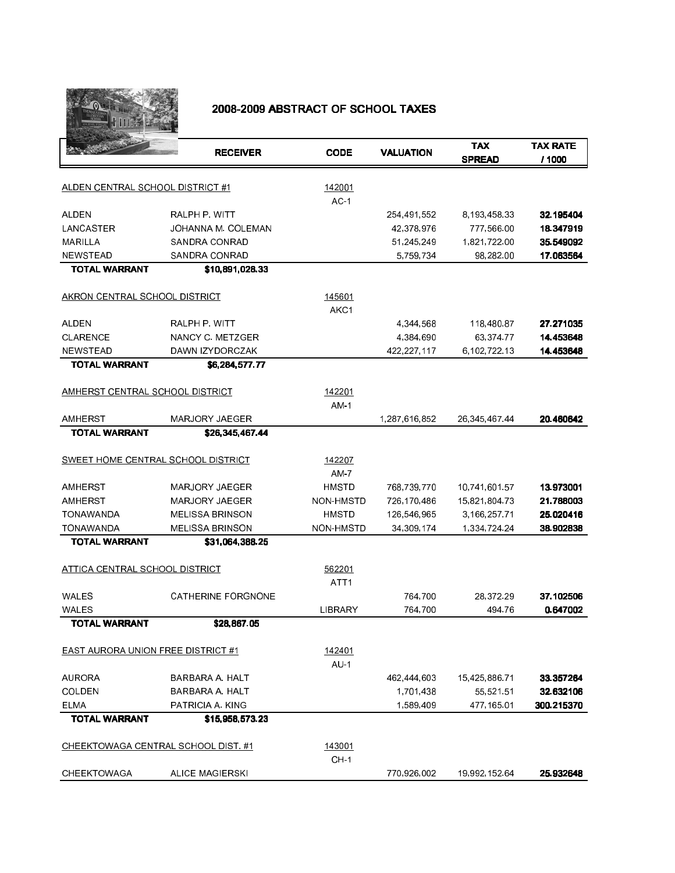

## 2008-2009 ABSTRACT OF SCHOOL TAXES

|                                           | <b>RECEIVER</b>           | <b>CODE</b>      | <b>VALUATION</b> | <b>TAX</b><br><b>SPREAD</b> | <b>TAX RATE</b><br>/ 1000 |
|-------------------------------------------|---------------------------|------------------|------------------|-----------------------------|---------------------------|
| ALDEN CENTRAL SCHOOL DISTRICT #1          |                           | 142001           |                  |                             |                           |
|                                           |                           | $AC-1$           |                  |                             |                           |
| ALDEN                                     | RALPH P. WITT             |                  | 254,491,552      | 8,193,458.33                | 32.195404                 |
| LANCASTER                                 | JOHANNA M. COLEMAN        |                  | 42,378,976       | 777,566.00                  | 18.347919                 |
| MARILLA                                   | SANDRA CONRAD             |                  | 51,245,249       | 1,821,722.00                | 35.549092                 |
| <b>NEWSTEAD</b>                           | SANDRA CONRAD             |                  | 5,759,734        | 98,282.00                   | 17.063564                 |
| <b>TOTAL WARRANT</b>                      | \$10,891,028.33           |                  |                  |                             |                           |
| AKRON CENTRAL SCHOOL DISTRICT             |                           | 145601           |                  |                             |                           |
|                                           |                           | AKC1             |                  |                             |                           |
| ALDEN                                     | RALPH P. WITT             |                  | 4,344,568        | 118,480.87                  | 27.271035                 |
| <b>CLARENCE</b>                           | NANCY C METZGER           |                  | 4,384,690        | 63,374.77                   | 14.453648                 |
| <b>NEWSTEAD</b>                           | DAWN IZYDORCZAK           |                  | 422,227,117      | 6,102,722.13                | 14.453648                 |
| <b>TOTAL WARRANT</b>                      | \$6,284,577,77            |                  |                  |                             |                           |
| AMHERST CENTRAL SCHOOL DISTRICT           |                           | 142201           |                  |                             |                           |
|                                           |                           | <b>AM 1</b>      |                  |                             |                           |
| AMHERST                                   | <b>MARJORY JAEGER</b>     |                  | 1,287,616,852    | 26, 345, 467, 44            | 20.460642                 |
| <b>TOTAL WARRANT</b>                      | \$26 345 467 44           |                  |                  |                             |                           |
| SWEET HOME CENTRAL SCHOOL DISTRICT        |                           | 142207           |                  |                             |                           |
|                                           |                           | AM 7             |                  |                             |                           |
| <b>AMHERST</b>                            | <b>MARJORY JAEGER</b>     | HMSTD            | 768,739,770      | 10,741,601.57               | 13.973001                 |
| AMHERST                                   | <b>MARJORY JAEGER</b>     | NON-HMSTD        | 726,170,486      | 15,821,804.73               | 21.788003                 |
| <b>TONAWANDA</b>                          | <b>MELISSA BRINSON</b>    | <b>HMSTD</b>     | 126,546,965      | 3,166,257.71                | 25.020416                 |
| <b>TONAWANDA</b>                          | <b>MELISSA BRINSON</b>    | NON-HMSTD        | 34, 309, 174     | 1,334,724.24                | 38.902838                 |
| <b>TOTAL WARRANT</b>                      | \$31,064,388.25           |                  |                  |                             |                           |
| ATTICA CENTRAL SCHOOL DISTRICT            |                           | 562201           |                  |                             |                           |
|                                           |                           | ATT <sub>1</sub> |                  |                             |                           |
| WALES                                     | <b>CATHERINE FORGNONE</b> |                  | 764,700          | 28,372.29                   | 37.102506                 |
| WALES                                     |                           | LIBRARY          | 764,700          | 494 76                      | 0.647002                  |
| <b>TOTAL WARRANT</b>                      | \$28,867.05               |                  |                  |                             |                           |
| <b>EAST AURORA UNION FREE DISTRICT #1</b> |                           | 142401           |                  |                             |                           |
|                                           |                           | $AU-1$           |                  |                             |                           |
| <b>AURORA</b>                             | BARBARA A HALT            |                  | 462,444,603      | 15,425,886.71               | 33.357264                 |
| COLDEN                                    | BARBARA A. HALT           |                  | 1,701,438        | 55,521.51                   | 32.632106                 |
| <b>ELMA</b>                               | PATRICIA A. KING          |                  | 1,589,409        | 477,165.01                  | 300.215370                |
| <b>TOTAL WARRANT</b>                      | \$15,958,573.23           |                  |                  |                             |                           |
| CHEEKTOWAGA CENTRAL SCHOOL DIST. #1       |                           | 143001<br>$CH-1$ |                  |                             |                           |
| <b>CHEEKTOWAGA</b>                        | <b>ALICE MAGIERSKI</b>    |                  | 770 926 002      | 19,992,152.64               | 25.932648                 |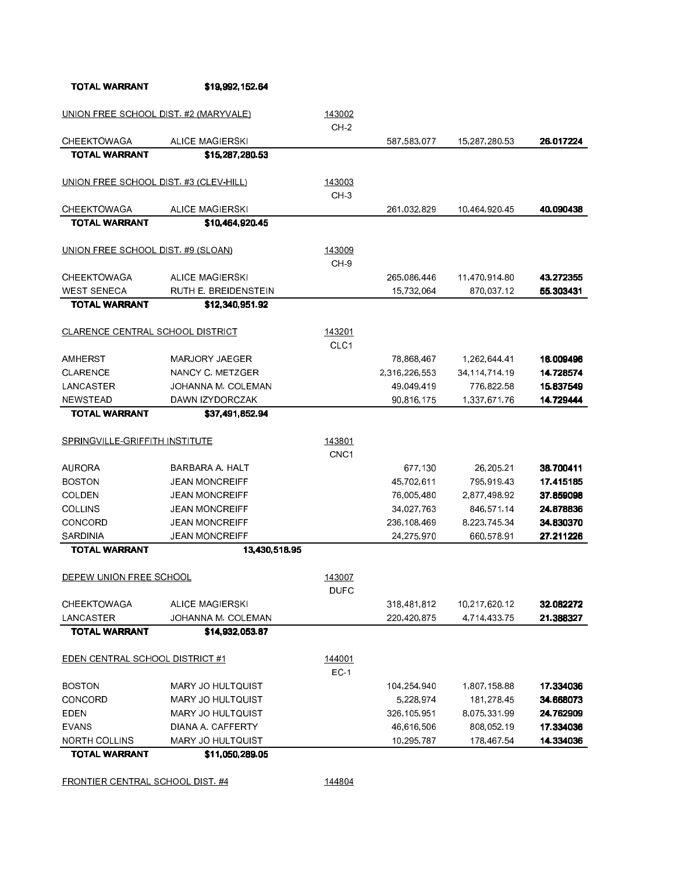| UNION FREE SCHOOL DIST. #2 (MARYVALE)  |                          | 143002           |               |                  |           |
|----------------------------------------|--------------------------|------------------|---------------|------------------|-----------|
|                                        |                          | $CH-2$           |               |                  |           |
| <b>CHEEKTOWAGA</b>                     | <b>ALICE MAGIERSKI</b>   |                  | 587, 583, 077 | 15,287,280.53    | 26.017224 |
| <b>TOTAL WARRANT</b>                   | \$15,287,280.53          |                  |               |                  |           |
| UNION FREE SCHOOL DIST. #3 (CLEV-HILL) |                          | 143003           |               |                  |           |
|                                        |                          | CH <sub>3</sub>  |               |                  |           |
| <b>CHEEKTOWAGA</b>                     | <b>ALICE MAGIERSKI</b>   |                  | 261,032,829   | 10,464,920.45    | 40.090438 |
| <b>TOTAL WARRANT</b>                   | \$10,464,920.45          |                  |               |                  |           |
| UNION FREE SCHOOL DIST. #9 (SLOAN)     |                          | 143009           |               |                  |           |
|                                        |                          | CH-9             |               |                  |           |
| <b>CHEEKTOWAGA</b>                     | <b>ALICE MAGIERSKI</b>   |                  | 265,086,446   | 11,470,914.80    | 43.272355 |
| <b>WEST SENECA</b>                     | RUTH E. BREIDENSTEIN     |                  | 15,732,064    | 870,037.12       | 55.303431 |
| <b>TOTAL WARRANT</b>                   | \$12 340 951 92          |                  |               |                  |           |
|                                        |                          |                  |               |                  |           |
| CLARENCE CENTRAL SCHOOL DISTRICT       |                          | 143201           |               |                  |           |
|                                        |                          | CLC1             |               |                  |           |
| <b>AMHERST</b>                         | MARJORY JAEGER           |                  | 78,868,467    | 1,262,644 41     | 16.009496 |
| CLARENCE                               | NANCY C METZGER          |                  | 2,316,226,553 | 34, 114, 714. 19 | 14.728574 |
| LANCASTER                              | JOHANNA M. COLEMAN       |                  | 49,049,419    | 776,822.58       | 15.837549 |
| <b>NEWSTEAD</b>                        | DAWN IZYDORCZAK          |                  | 90,816,175    | 1,337,671.76     | 14.729444 |
| <b>TOTAL WARRANT</b>                   | \$37,491,852.94          |                  |               |                  |           |
| SPRINGVILLE-GRIFFITH INSTITUTE         |                          | 143801           |               |                  |           |
|                                        |                          | CNC <sub>1</sub> |               |                  |           |
| <b>AURORA</b>                          | BARBARA A. HALT          |                  | 677,130       | 26, 205. 21      | 38.700411 |
| <b>BOSTON</b>                          | JEAN MONCREIFF           |                  | 45,702,611    | 795,919.43       | 17.415185 |
| COLDEN                                 | <b>JEAN MONCREIFF</b>    |                  | 76,005,480    | 2,877,498.92     | 37.859098 |
| <b>COLLINS</b>                         | <b>JEAN MONCREIFF</b>    |                  | 34,027,763    | 846,571.14       | 24.878836 |
| CONCORD                                | <b>JEAN MONCREIFF</b>    |                  | 236,108,469   | 8,223,745.34     | 34.830370 |
| SARDINIA                               | JEAN MONCREIFF           |                  | 24, 275, 970  | 660,578.91       | 27.211226 |
| <b>TOTAL WARRANT</b>                   | 13,430,518.95            |                  |               |                  |           |
|                                        |                          |                  |               |                  |           |
| DEPEW UNION FREE SCHOOL                |                          | 143007           |               |                  |           |
|                                        |                          | <b>DUFC</b>      |               |                  |           |
| CHEEKTOWAGA                            | <b>ALICE MAGIERSKI</b>   |                  | 318,481,812   | 10,217,620.12    | 32.082272 |
| LANCASTER                              | JOHANNA M. COLEMAN       |                  | 220,420,875   | 4,714,433.75     | 21.388327 |
| <b>TOTAL WARRANT</b>                   | \$14,932,053.87          |                  |               |                  |           |
| EDEN CENTRAL SCHOOL DISTRICT #1        |                          | 144001           |               |                  |           |
|                                        |                          | $EC-1$           |               |                  |           |
| <b>BOSTON</b>                          | <b>MARY JO HULTQUIST</b> |                  | 104,254,940   | 1,807,158.88     | 17.334036 |
| CONCORD                                | MARY JO HULTQUIST        |                  | 5,228,974     | 181,278.45       | 34.668073 |
| <b>EDEN</b>                            | <b>MARY JO HULTQUIST</b> |                  | 326,105,951   | 8,075,331.99     | 24.762909 |
| <b>EVANS</b>                           | DIANA A CAFFERTY         |                  | 46,616,506    | 808,052.19       | 17.334036 |
| <b>NORTH COLLINS</b>                   | MARY JO HULTQUIST        |                  | 10,295,787    | 178,467.54       | 14.334036 |
| <b>TOTAL WARRANT</b>                   | \$11,050,289.05          |                  |               |                  |           |
| FRONTIER CENTRAL SCHOOL DIST. #4       |                          | 144804           |               |                  |           |
|                                        |                          |                  |               |                  |           |

TOTAL WARRANT \$19,992,152.64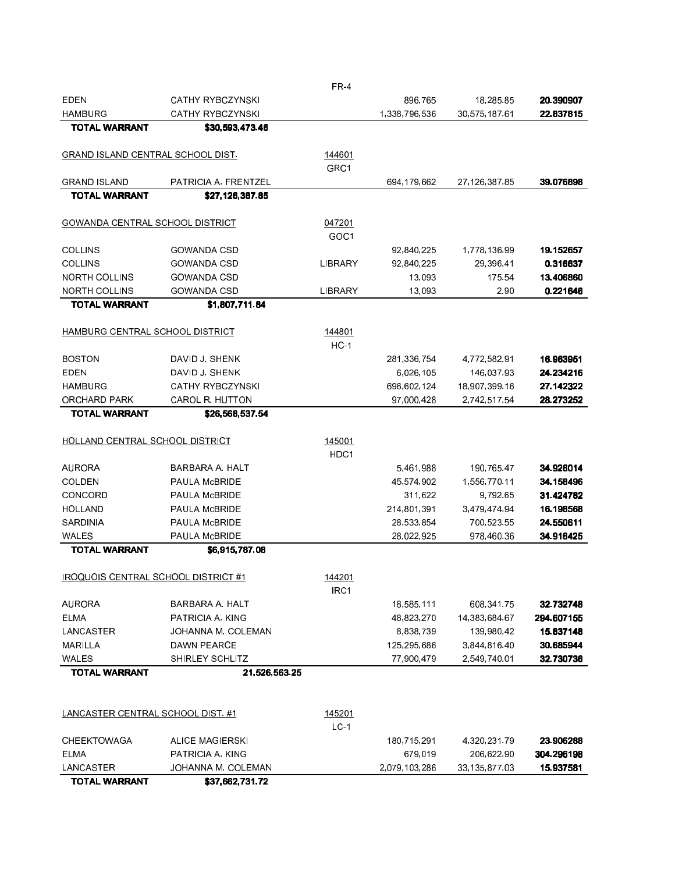| <b>EDEN</b>                              | <b>CATHY RYBCZYNSKI</b> |                  | 896,765       | 18,285.85     | 20.390907  |
|------------------------------------------|-------------------------|------------------|---------------|---------------|------------|
| <b>HAMBURG</b>                           | <b>CATHY RYBCZYNSKI</b> |                  | 1,338,796,536 | 30,575,187.61 | 22.837815  |
| <b>TOTAL WARRANT</b>                     | \$30,593,473.46         |                  |               |               |            |
| GRAND ISLAND CENTRAL SCHOOL DIST.        |                         | 144601           |               |               |            |
|                                          |                         | GRC1             |               |               |            |
| <b>GRAND ISLAND</b>                      | PATRICIA A. FRENTZEL    |                  | 694,179,662   | 27,126,387.85 | 39.076898  |
| <b>TOTAL WARRANT</b>                     | \$27,126,387.85         |                  |               |               |            |
| GOWANDA CENTRAL SCHOOL DISTRICT          |                         | 047201           |               |               |            |
|                                          |                         | GOC <sub>1</sub> |               |               |            |
| <b>COLLINS</b>                           | <b>GOWANDA CSD</b>      |                  | 92,840,225    | 1,778,136.99  | 19.152657  |
| <b>COLLINS</b>                           | <b>GOWANDA CSD</b>      | LIBRARY          | 92,840,225    | 29,396.41     | 0.316637   |
| <b>NORTH COLLINS</b>                     | <b>GOWANDA CSD</b>      |                  | 13,093        | 175 54        | 13.406860  |
| <b>NORTH COLLINS</b>                     | <b>GOWANDA CSD</b>      | LIBRARY          | 13,093        | 290           | 0.221646   |
| <b>TOTAL WARRANT</b>                     | \$1 807 711 84          |                  |               |               |            |
|                                          |                         |                  |               |               |            |
| HAMBURG CENTRAL SCHOOL DISTRICT          |                         | 144801<br>$HC-1$ |               |               |            |
| <b>BOSTON</b>                            | DAVID J. SHENK          |                  | 281,336,754   | 4,772,582.91  | 16.963951  |
| EDEN                                     | DAVID J. SHENK          |                  | 6,026,105     | 146,037.93    | 24.234216  |
| <b>HAMBURG</b>                           | <b>CATHY RYBCZYNSKI</b> |                  | 696,602,124   | 18,907,399.16 | 27.142322  |
| ORCHARD PARK                             | <b>CAROL R. HUTTON</b>  |                  | 97,000,428    | 2,742,517.54  | 28.273252  |
| <b>TOTAL WARRANT</b>                     | \$26,568,537.54         |                  |               |               |            |
|                                          |                         |                  |               |               |            |
| HOLLAND CENTRAL SCHOOL DISTRICT          |                         | 145001           |               |               |            |
|                                          |                         | HDC1             |               |               |            |
| <b>AURORA</b>                            | BARBARA A. HALT         |                  | 5,461,988     | 190,765.47    | 34.926014  |
| COLDEN                                   | PAULA McBRIDE           |                  | 45,574,902    | 1,556,770.11  | 34.158496  |
| CONCORD                                  | PAULA McBRIDE           |                  | 311,622       | 9,792.65      | 31.424782  |
| <b>HOLLAND</b>                           | PAULA McBRIDE           |                  | 214,801,391   | 3,479,474.94  | 16.198568  |
| SARDINIA                                 | PAULA McBRIDE           |                  | 28,533,854    | 700,523.55    | 24.550611  |
| WALES                                    | <b>PAULA MCBRIDE</b>    |                  | 28,022,925    | 978,460.36    | 34.916425  |
| <b>TOTAL WARRANT</b>                     | \$6,915,787.08          |                  |               |               |            |
| IROQUOIS CENTRAL SCHOOL DISTRICT #1      |                         | 144201           |               |               |            |
|                                          |                         | IRC1             |               |               |            |
| <b>AURORA</b>                            | BARBARA A. HALT         |                  | 18,585,111    | 608,341.75    | 32.732748  |
| <b>ELMA</b>                              | PATRICIA A. KING        |                  | 48,823,270    | 14,383,684.67 | 294.607155 |
| LANCASTER                                | JOHANNA M. COLEMAN      |                  | 8,838,739     | 139,980.42    | 15.837148  |
| MARILLA                                  | DAWN PEARCE             |                  | 125,295,686   | 3,844,816.40  | 30.685944  |
| WALES                                    | <b>SHIRLEY SCHLITZ</b>  |                  | 77,900,479    | 2 549 740 01  | 32.730736  |
| <b>TOTAL WARRANT</b>                     | 21,526,563.25           |                  |               |               |            |
|                                          |                         |                  |               |               |            |
| <b>LANCASTER CENTRAL SCHOOL DIST. #1</b> |                         | 145201           |               |               |            |
|                                          |                         | LC <sub>1</sub>  |               |               |            |
| <b>CHEEKTOWAGA</b>                       | <b>ALICE MAGIERSKI</b>  |                  | 180,715,291   | 4,320,231.79  | 23.906288  |
| <b>ELMA</b>                              | PATRICIA A. KING        |                  | 679,019       | 206,622.90    | 304.296198 |
| LANCASTER                                | JOHANNA M. COLEMAN      |                  | 2,079,103,286 | 33,135,877.03 | 15.937581  |
| <b>TOTAL WARRANT</b>                     | \$37,662,731.72         |                  |               |               |            |

FR-4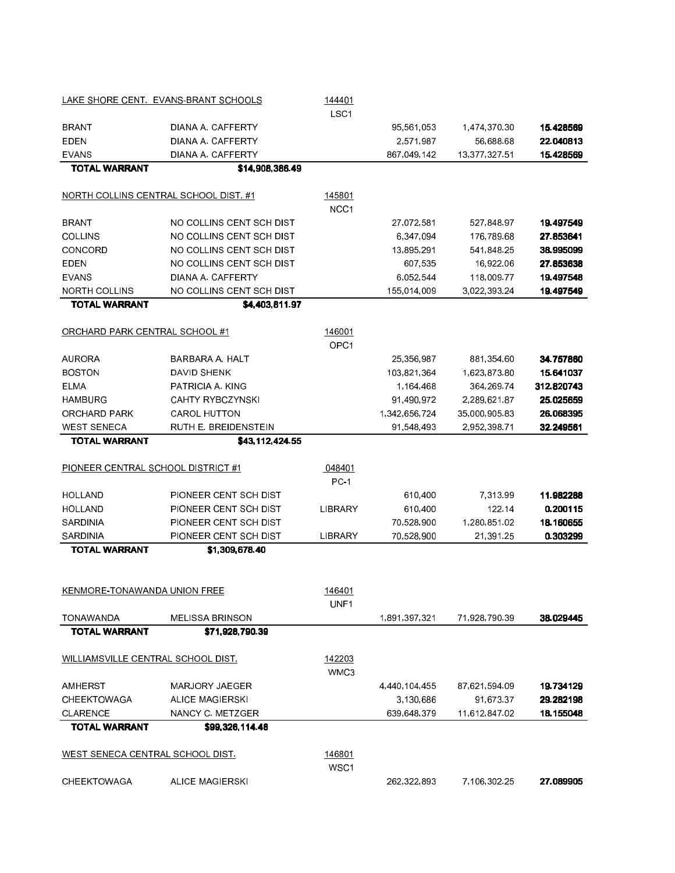|                                           | LAKE SHORE CENT. EVANS-BRANT SCHOOLS  | 144401<br>LSC1             |               |               |            |
|-------------------------------------------|---------------------------------------|----------------------------|---------------|---------------|------------|
| <b>BRANT</b>                              | DIANA A. CAFFERTY                     |                            | 95,561,053    | 1,474,370.30  | 15.428569  |
| EDEN                                      | DIANA A CAFFERTY                      |                            | 2,571,987     | 56,688.68     | 22.040813  |
| <b>EVANS</b>                              | DIANA A. CAFFERTY                     |                            | 867,049,142   | 13,377,327.51 | 15.428569  |
| <b>TOTAL WARRANT</b>                      | \$14,908,386.49                       |                            |               |               |            |
|                                           | NORTH COLLINS CENTRAL SCHOOL DIST. #1 | 145801                     |               |               |            |
|                                           |                                       | NCC <sub>1</sub>           |               |               |            |
| <b>BRANT</b>                              | NO COLLINS CENT SCH DIST              |                            | 27,072,581    | 527 848 97    | 19.497549  |
| <b>COLLINS</b>                            | NO COLLINS CENT SCH DIST              |                            | 6,347,094     | 176,789.68    | 27.853641  |
| CONCORD                                   | NO COLLINS CENT SCH DIST              |                            | 13,895,291    | 541,848.25    | 38.995099  |
| <b>EDEN</b>                               | NO COLLINS CENT SCH DIST              |                            | 607,535       | 16,922.06     | 27.853638  |
| <b>EVANS</b>                              | DIANA A. CAFFERTY                     |                            | 6,052,544     | 118,009.77    | 19.497548  |
| <b>NORTH COLLINS</b>                      | NO COLLINS CENT SCH DIST              |                            | 155,014,009   | 3,022,393.24  | 19.497549  |
| <b>TOTAL WARRANT</b>                      | \$4,403,811.97                        |                            |               |               |            |
| ORCHARD PARK CENTRAL SCHOOL #1            |                                       | 146001<br>OPC <sub>1</sub> |               |               |            |
| <b>AURORA</b>                             | BARBARA A HALT                        |                            | 25,356,987    | 881,354.60    | 34.757860  |
| <b>BOSTON</b>                             | <b>DAVID SHENK</b>                    |                            | 103,821,364   | 1,623,873.80  | 15.641037  |
| <b>ELMA</b>                               | PATRICIA A. KING                      |                            | 1,164,468     | 364 269 74    | 312.820743 |
| <b>HAMBURG</b>                            | <b>CAHTY RYBCZYNSKI</b>               |                            | 91,490,972    | 2,289,621.87  | 25.025659  |
| ORCHARD PARK                              | <b>CAROL HUTTON</b>                   |                            | 1,342,656,724 | 35,000,905.83 | 26.068395  |
| <b>WEST SENECA</b>                        | RUTH E. BREIDENSTEIN                  |                            | 91,548,493    | 2,952,398.71  | 32.249561  |
| <b>TOTAL WARRANT</b>                      | \$43,112,424.55                       |                            |               |               |            |
| PIONEER CENTRAL SCHOOL DISTRICT #1        |                                       | 048401                     |               |               |            |
|                                           |                                       | <b>PC-1</b>                |               |               |            |
| HOLLAND                                   | PIONEER CENT SCH DIST                 |                            | 610,400       | 7,313.99      | 11.982288  |
| HOLLAND                                   | PIONEER CENT SCH DIST                 | LIBRARY                    | 610,400       | 122.14        | 0.200115   |
| SARDINIA                                  | PIONEER CENT SCH DIST                 |                            | 70,528,900    | 1,280,851 02  | 18.160655  |
| SARDINIA                                  | PIONEER CENT SCH DIST                 | LIBRARY                    | 70,528,900    | 21,391.25     | 0.303299   |
| <b>TOTAL WARRANT</b>                      | \$1,309,678.40                        |                            |               |               |            |
| KENMORE-TONAWANDA UNION FREE              |                                       | 146401<br>UNF1             |               |               |            |
| <b>TONAWANDA</b>                          | <b>MELISSA BRINSON</b>                |                            | 1,891,397,321 | 71,928,790.39 | 38.029445  |
| <b>TOTAL WARRANT</b>                      | \$71,928,790.39                       |                            |               |               |            |
| <u>WILLIAMSVILLE CENTRAL SCHOOL DIST.</u> |                                       | 142203<br>WMC3             |               |               |            |
| AMHERST                                   | MARJORY JAEGER                        |                            | 4,440,104,455 | 87,621,594.09 | 19.734129  |
| CHEEKTOWAGA                               | <b>ALICE MAGIERSKI</b>                |                            | 3,130,686     | 91,673.37     | 29.282198  |
| <b>CLARENCE</b>                           | NANCY C. METZGER                      |                            | 639 648 379   | 11,612,847.02 | 18.155048  |
| <b>TOTAL WARRANT</b>                      | \$99,326,114.48                       |                            |               |               |            |
| <u>WEST SENECA CENTRAL SCHOOL DIST.</u>   |                                       | 146801<br>WSC1             |               |               |            |
| CHEEKTOWAGA                               | <b>ALICE MAGIERSKI</b>                |                            | 262,322,893   | 7,106,302.25  | 27.089905  |